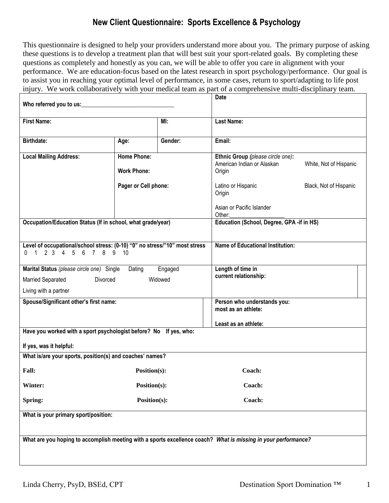## **New Client Questionnaire: Sports Excellence & Psychology**

This questionnaire is designed to help your providers understand more about you. The primary purpose of asking these questions is to develop a treatment plan that will best suit your sport-related goals. By completing these questions as completely and honestly as you can, we will be able to offer you care in alignment with your performance. We are education-focus based on the latest research in sport psychology/performance. Our goal is to assist you in reaching your optimal level of performance, in some cases, return to sport/adapting to life post injury. We work collaboratively with your medical team as part of a comprehensive multi-disciplinary team.

| Who referred you to us:                                                                                        |                                          |         | Date                                                                      |                        |  |  |
|----------------------------------------------------------------------------------------------------------------|------------------------------------------|---------|---------------------------------------------------------------------------|------------------------|--|--|
| <b>First Name:</b>                                                                                             |                                          | MI:     | <b>Last Name:</b>                                                         |                        |  |  |
| <b>Birthdate:</b>                                                                                              | Gender:<br>Age:                          |         | Email:                                                                    |                        |  |  |
| <b>Local Mailing Address:</b>                                                                                  | <b>Home Phone:</b><br><b>Work Phone:</b> |         | Ethnic Group (please circle one):<br>American Indian or Alaskan<br>Origin | White, Not of Hispanic |  |  |
|                                                                                                                | Pager or Cell phone:                     |         | Latino or Hispanic<br>Origin                                              | Black, Not of Hispanic |  |  |
|                                                                                                                |                                          |         | Asian or Pacific Islander<br>Other:                                       |                        |  |  |
| Occupation/Education Status (If in school, what grade/year)                                                    |                                          |         | Education (School, Degree, GPA -if in HS)                                 |                        |  |  |
| Level of occupational/school stress: (0-10) "0" no stress/"10" most stress<br>1 2 3 4 5 6 7 8 9 10<br>$\Omega$ |                                          |         | <b>Name of Educational Institution:</b>                                   |                        |  |  |
| Marital Status (please circle one) Single Dating                                                               |                                          | Engaged | Length of time in                                                         |                        |  |  |
| Married Separated<br>Divorced                                                                                  |                                          | Widowed | current relationship:                                                     |                        |  |  |
| Living with a partner                                                                                          |                                          |         |                                                                           |                        |  |  |
| Spouse/Significant other's first name:                                                                         |                                          |         | Person who understands you:<br>most as an athlete:                        |                        |  |  |
|                                                                                                                |                                          |         | Least as an athlete:                                                      |                        |  |  |
| Have you worked with a sport psychologist before? No If yes, who:                                              |                                          |         |                                                                           |                        |  |  |
| If yes, was it helpful:                                                                                        |                                          |         |                                                                           |                        |  |  |
| What is/are your sports, position(s) and coaches' names?                                                       |                                          |         |                                                                           |                        |  |  |
| <b>Fall:</b>                                                                                                   | Position(s):                             |         | Coach:                                                                    |                        |  |  |
| Winter:                                                                                                        | Position(s):                             | Coach:  |                                                                           |                        |  |  |
| Spring:                                                                                                        | Position(s):                             | Coach:  |                                                                           |                        |  |  |
| What is your primary sport/position:                                                                           |                                          |         |                                                                           |                        |  |  |
| What are you hoping to accomplish meeting with a sports excellence coach? What is missing in your performance? |                                          |         |                                                                           |                        |  |  |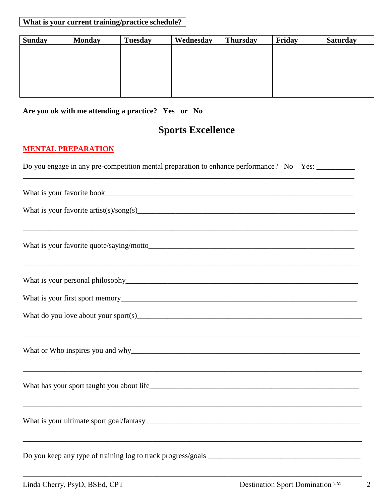## **What is your current training/practice schedule?**

| <b>Sunday</b> | <b>Monday</b> | <b>Tuesday</b> | Wednesday | <b>Thursday</b> | Friday | <b>Saturday</b> |
|---------------|---------------|----------------|-----------|-----------------|--------|-----------------|
|               |               |                |           |                 |        |                 |
|               |               |                |           |                 |        |                 |
|               |               |                |           |                 |        |                 |
|               |               |                |           |                 |        |                 |
|               |               |                |           |                 |        |                 |

## **Are you ok with me attending a practice? Yes or No**

# **Sports Excellence**

## **MENTAL PREPARATION**

| Do you engage in any pre-competition mental preparation to enhance performance? No Yes: |  |  |
|-----------------------------------------------------------------------------------------|--|--|
|                                                                                         |  |  |

| ,我们也不会有什么。""我们的人,我们也不会有什么?""我们的人,我们也不会有什么?""我们的人,我们也不会有什么?""我们的人,我们也不会有什么?""我们的人  |
|-----------------------------------------------------------------------------------|
|                                                                                   |
|                                                                                   |
| Do you keep any type of training log to track progress/goals ____________________ |

\_\_\_\_\_\_\_\_\_\_\_\_\_\_\_\_\_\_\_\_\_\_\_\_\_\_\_\_\_\_\_\_\_\_\_\_\_\_\_\_\_\_\_\_\_\_\_\_\_\_\_\_\_\_\_\_\_\_\_\_\_\_\_\_\_\_\_\_\_\_\_\_\_\_\_\_\_\_\_\_\_\_\_\_\_\_\_\_\_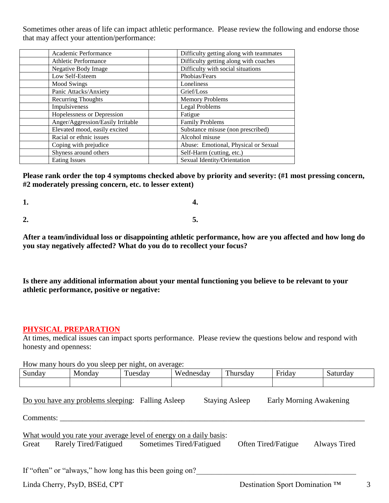Sometimes other areas of life can impact athletic performance. Please review the following and endorse those that may affect your attention/performance:

| Academic Performance              | Difficulty getting along with teammates |
|-----------------------------------|-----------------------------------------|
| <b>Athletic Performance</b>       | Difficulty getting along with coaches   |
| Negative Body Image               | Difficulty with social situations       |
| Low Self-Esteem                   | Phobias/Fears                           |
| <b>Mood Swings</b>                | Loneliness                              |
| Panic Attacks/Anxiety             | Grief/Loss                              |
| <b>Recurring Thoughts</b>         | <b>Memory Problems</b>                  |
| Impulsiveness                     | Legal Problems                          |
| Hopelessness or Depression        | Fatigue                                 |
| Anger/Aggression/Easily Irritable | <b>Family Problems</b>                  |
| Elevated mood, easily excited     | Substance misuse (non prescribed)       |
| Racial or ethnic issues           | Alcohol misuse                          |
| Coping with prejudice             | Abuse: Emotional, Physical or Sexual    |
| Shyness around others             | Self-Harm (cutting, etc.)               |
| <b>Eating Issues</b>              | Sexual Identity/Orientation             |

**Please rank order the top 4 symptoms checked above by priority and severity: (#1 most pressing concern, #2 moderately pressing concern, etc. to lesser extent)**

**1. 4. 2. 5.** 

**After a team/individual loss or disappointing athletic performance, how are you affected and how long do you stay negatively affected? What do you do to recollect your focus?**

**Is there any additional information about your mental functioning you believe to be relevant to your athletic performance, positive or negative:** 

#### **PHYSICAL PREPARATION**

At times, medical issues can impact sports performance. Please review the questions below and respond with honesty and openness:

| How many hours do you sleep per night, on average:                                                                                                                      |        |         |           |          |        |          |  |
|-------------------------------------------------------------------------------------------------------------------------------------------------------------------------|--------|---------|-----------|----------|--------|----------|--|
| Sunday                                                                                                                                                                  | Monday | Tuesday | Wednesday | Thursday | Friday | Saturday |  |
|                                                                                                                                                                         |        |         |           |          |        |          |  |
| Do you have any problems sleeping: Falling Asleep<br><b>Staying Asleep</b><br>Early Morning Awakening<br>Comments:                                                      |        |         |           |          |        |          |  |
| What would you rate your average level of energy on a daily basis:<br>Sometimes Tired/Fatigued<br>Often Tired/Fatigue<br>Rarely Tired/Fatigued<br>Always Tired<br>Great |        |         |           |          |        |          |  |
| If "often" or "always," how long has this been going on?                                                                                                                |        |         |           |          |        |          |  |
| Destination Sport Domination <sup>TM</sup><br>Linda Cherry, PsyD, BSEd, CPT<br>3                                                                                        |        |         |           |          |        |          |  |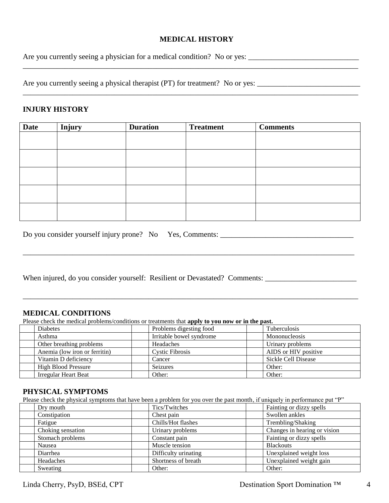#### **MEDICAL HISTORY**

\_\_\_\_\_\_\_\_\_\_\_\_\_\_\_\_\_\_\_\_\_\_\_\_\_\_\_\_\_\_\_\_\_\_\_\_\_\_\_\_\_\_\_\_\_\_\_\_\_\_\_\_\_\_\_\_\_\_\_\_\_\_\_\_\_\_\_\_\_\_\_\_\_\_\_\_\_\_\_\_\_\_\_\_\_\_\_\_

Are you currently seeing a physician for a medical condition? No or yes: \_\_\_\_\_\_\_\_\_\_\_\_\_\_\_\_\_\_\_\_\_\_\_\_\_\_\_\_\_

Are you currently seeing a physical therapist (PT) for treatment? No or yes: \_\_\_\_\_\_\_\_\_\_\_\_\_\_\_\_\_\_\_\_\_\_\_\_\_\_\_

#### **INJURY HISTORY**

| <b>Date</b> | <b>Injury</b> | <b>Duration</b> | <b>Treatment</b> | <b>Comments</b> |
|-------------|---------------|-----------------|------------------|-----------------|
|             |               |                 |                  |                 |
|             |               |                 |                  |                 |
|             |               |                 |                  |                 |
|             |               |                 |                  |                 |
|             |               |                 |                  |                 |

\_\_\_\_\_\_\_\_\_\_\_\_\_\_\_\_\_\_\_\_\_\_\_\_\_\_\_\_\_\_\_\_\_\_\_\_\_\_\_\_\_\_\_\_\_\_\_\_\_\_\_\_\_\_\_\_\_\_\_\_\_\_\_\_\_\_\_\_\_\_\_\_\_\_\_\_\_\_\_\_\_\_\_\_\_\_\_

\_\_\_\_\_\_\_\_\_\_\_\_\_\_\_\_\_\_\_\_\_\_\_\_\_\_\_\_\_\_\_\_\_\_\_\_\_\_\_\_\_\_\_\_\_\_\_\_\_\_\_\_\_\_\_\_\_\_\_\_\_\_\_\_\_\_\_\_\_\_\_\_\_\_\_\_\_\_\_\_\_\_\_\_\_\_\_\_

| Do you consider yourself injury prone? No Yes, Comments: |  |  |
|----------------------------------------------------------|--|--|
|----------------------------------------------------------|--|--|

When injured, do you consider yourself: Resilient or Devastated? Comments: \_\_\_\_\_\_\_\_\_\_\_\_\_\_\_\_\_\_\_\_\_\_\_\_\_\_\_\_\_\_\_\_\_\_\_

#### **MEDICAL CONDITIONS**

Please check the medical problems/conditions or treatments that **apply to you now or in the past.**

| Diabetes                      | Problems digesting food  | Tuberculosis         |
|-------------------------------|--------------------------|----------------------|
| Asthma                        | Irritable bowel syndrome | Mononucleosis        |
| Other breathing problems      | Headaches                | Urinary problems     |
| Anemia (low iron or ferritin) | Cystic Fibrosis          | AIDS or HIV positive |
| Vitamin D deficiency          | Cancer                   | Sickle Cell Disease  |
| <b>High Blood Pressure</b>    | Seizures                 | Other:               |
| Irregular Heart Beat          | Other:                   | Other:               |

#### **PHYSICAL SYMPTOMS**

Please check the physical symptoms that have been a problem for you over the past month, if uniquely in performance put "P"

| Dry mouth         | Tics/Twitches        | Fainting or dizzy spells     |
|-------------------|----------------------|------------------------------|
| Constipation      | Chest pain           | Swollen ankles               |
| Fatigue           | Chills/Hot flashes   | Trembling/Shaking            |
| Choking sensation | Urinary problems     | Changes in hearing or vision |
| Stomach problems  | Constant pain        | Fainting or dizzy spells     |
| Nausea            | Muscle tension       | <b>Blackouts</b>             |
| Diarrhea          | Difficulty urinating | Unexplained weight loss      |
| Headaches         | Shortness of breath  | Unexplained weight gain      |
| Sweating          | Other:               | Other:                       |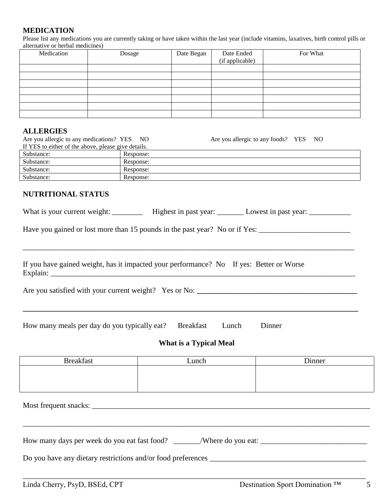#### **MEDICATION**

Please list any medications you are currently taking or have taken within the last year (include vitamins, laxatives, birth control pills or alternative or herbal medicines)

| Medication | Dosage | Date Began | Date Ended<br>(if applicable) | For What |
|------------|--------|------------|-------------------------------|----------|
|            |        |            |                               |          |
|            |        |            |                               |          |
|            |        |            |                               |          |
|            |        |            |                               |          |
|            |        |            |                               |          |
|            |        |            |                               |          |
|            |        |            |                               |          |

#### **ALLERGIES**

| Are you allergic to any medications? YES NO         |           | Are you allergic to any foods? YES NO |  |
|-----------------------------------------------------|-----------|---------------------------------------|--|
| If YES to either of the above, please give details. |           |                                       |  |
| Substance:                                          | Response: |                                       |  |
| Substance:                                          | Response: |                                       |  |
| Substance:                                          | Response: |                                       |  |
| Substance:                                          | Response: |                                       |  |

### **NUTRITIONAL STATUS**

| What is your current weight: | Highest in past year: | Lowest in past year: |  |
|------------------------------|-----------------------|----------------------|--|
|------------------------------|-----------------------|----------------------|--|

\_\_\_\_\_\_\_\_\_\_\_\_\_\_\_\_\_\_\_\_\_\_\_\_\_\_\_\_\_\_\_\_\_\_\_\_\_\_\_\_\_\_\_\_\_\_\_\_\_\_\_\_\_\_\_\_\_\_\_\_\_\_\_\_\_\_\_\_\_\_\_\_\_\_\_\_\_\_\_\_\_\_\_\_\_\_\_

Have you gained or lost more than 15 pounds in the past year? No or if Yes:

If you have gained weight, has it impacted your performance? No If yes: Better or Worse Explain: \_\_\_\_\_\_\_\_\_\_\_\_\_\_\_\_\_\_\_\_\_\_\_\_\_\_\_\_\_\_\_\_\_\_\_\_\_\_\_\_\_\_\_\_\_\_\_\_\_\_\_\_\_\_\_\_\_\_\_\_\_\_\_\_\_\_\_\_\_\_\_\_\_\_\_\_\_\_\_\_

| Are you satisfied with your current weight? Yes or No: |  |
|--------------------------------------------------------|--|
|                                                        |  |

How many meals per day do you typically eat? Breakfast Lunch Dinner

#### **What is a Typical Meal**

**\_\_\_\_\_\_\_\_\_\_\_\_\_\_\_\_\_\_\_\_\_\_\_\_\_\_\_\_\_\_\_\_\_\_\_\_\_\_\_\_\_\_\_\_\_\_\_\_\_\_\_\_\_\_\_\_\_\_\_\_\_\_\_\_\_\_\_\_\_\_\_\_\_\_\_\_\_\_\_\_\_\_\_\_\_\_\_\_**

| <b>Breakfast</b> | Lunch | Dinner |
|------------------|-------|--------|
|                  |       |        |
|                  |       |        |
|                  |       |        |

\_\_\_\_\_\_\_\_\_\_\_\_\_\_\_\_\_\_\_\_\_\_\_\_\_\_\_\_\_\_\_\_\_\_\_\_\_\_\_\_\_\_\_\_\_\_\_\_\_\_\_\_\_\_\_\_\_\_\_\_\_\_\_\_\_\_\_\_\_\_\_\_\_\_\_\_\_\_\_\_\_\_\_\_\_\_\_\_\_\_\_

\_\_\_\_\_\_\_\_\_\_\_\_\_\_\_\_\_\_\_\_\_\_\_\_\_\_\_\_\_\_\_\_\_\_\_\_\_\_\_\_\_\_\_\_\_\_\_\_\_\_\_\_\_\_\_\_\_\_\_\_\_\_\_\_\_\_\_\_\_\_\_\_\_\_\_\_\_\_\_\_\_\_\_\_\_\_\_\_\_\_

Most frequent snacks: \_\_\_\_\_\_\_\_\_\_\_\_\_\_\_\_\_\_\_\_\_\_\_\_\_\_\_\_\_\_\_\_\_\_\_\_\_\_\_\_\_\_\_\_\_\_\_\_\_\_\_\_\_\_\_\_\_\_\_\_\_\_\_\_\_\_\_\_\_\_\_\_\_

| How many days per week do you eat fast food? | Where do you eat: |  |
|----------------------------------------------|-------------------|--|
|                                              |                   |  |

Do you have any dietary restrictions and/or food preferences \_\_\_\_\_\_\_\_\_\_\_\_\_\_\_\_\_\_\_\_\_\_\_\_\_\_\_\_\_\_\_\_\_\_\_\_\_\_\_\_\_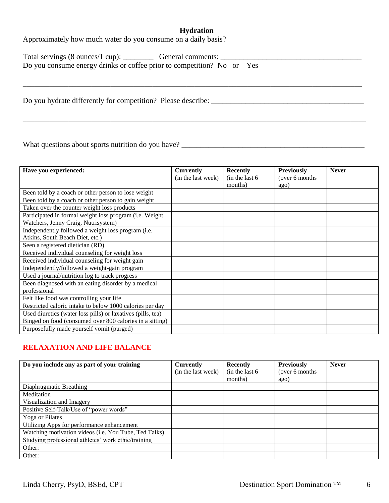#### **Hydration**

\_\_\_\_\_\_\_\_\_\_\_\_\_\_\_\_\_\_\_\_\_\_\_\_\_\_\_\_\_\_\_\_\_\_\_\_\_\_\_\_\_\_\_\_\_\_\_\_\_\_\_\_\_\_\_\_\_\_\_\_\_\_\_\_\_\_\_\_\_\_\_\_\_\_\_\_\_\_\_\_\_\_\_\_\_\_\_\_\_\_

Approximately how much water do you consume on a daily basis?

| Total servings (8 ounces/1 cup):                                       | General comments: |  |
|------------------------------------------------------------------------|-------------------|--|
| Do you consume energy drinks or coffee prior to competition? No or Yes |                   |  |

Do you hydrate differently for competition? Please describe: \_\_\_\_\_\_\_\_\_\_\_\_\_\_\_\_\_\_\_\_\_\_\_\_\_\_\_\_\_\_\_\_\_\_\_\_\_\_\_\_

What questions about sports nutrition do you have? \_\_\_\_\_\_\_\_\_\_\_\_\_\_\_\_\_\_\_\_\_\_\_\_\_\_\_\_\_\_\_\_\_\_\_\_\_\_\_\_\_\_\_\_\_\_\_\_

| Have you experienced:                                       | <b>Currently</b>   | <b>Recently</b> | <b>Previously</b> | <b>Never</b> |
|-------------------------------------------------------------|--------------------|-----------------|-------------------|--------------|
|                                                             | (in the last week) | (in the last 6) | (over 6 months)   |              |
|                                                             |                    | months)         | ago)              |              |
| Been told by a coach or other person to lose weight         |                    |                 |                   |              |
| Been told by a coach or other person to gain weight         |                    |                 |                   |              |
| Taken over the counter weight loss products                 |                    |                 |                   |              |
| Participated in formal weight loss program (i.e. Weight     |                    |                 |                   |              |
| Watchers, Jenny Craig, Nutrisystem)                         |                    |                 |                   |              |
| Independently followed a weight loss program (i.e.          |                    |                 |                   |              |
| Atkins, South Beach Diet, etc.)                             |                    |                 |                   |              |
| Seen a registered dietician (RD)                            |                    |                 |                   |              |
| Received individual counseling for weight loss              |                    |                 |                   |              |
| Received individual counseling for weight gain              |                    |                 |                   |              |
| Independently/followed a weight-gain program                |                    |                 |                   |              |
| Used a journal/nutrition log to track progress              |                    |                 |                   |              |
| Been diagnosed with an eating disorder by a medical         |                    |                 |                   |              |
| professional                                                |                    |                 |                   |              |
| Felt like food was controlling your life                    |                    |                 |                   |              |
| Restricted caloric intake to below 1000 calories per day    |                    |                 |                   |              |
| Used diuretics (water loss pills) or laxatives (pills, tea) |                    |                 |                   |              |
| Binged on food (consumed over 800 calories in a sitting)    |                    |                 |                   |              |
| Purposefully made yourself vomit (purged)                   |                    |                 |                   |              |

#### **RELAXATION AND LIFE BALANCE**

| Do you include any as part of your training           | <b>Currently</b>   | <b>Recently</b> | <b>Previously</b> | <b>Never</b> |
|-------------------------------------------------------|--------------------|-----------------|-------------------|--------------|
|                                                       | (in the last week) | (in the last 6) | (over 6 months)   |              |
|                                                       |                    | months)         | ago)              |              |
| Diaphragmatic Breathing                               |                    |                 |                   |              |
| Meditation                                            |                    |                 |                   |              |
| Visualization and Imagery                             |                    |                 |                   |              |
| Positive Self-Talk/Use of "power words"               |                    |                 |                   |              |
| Yoga or Pilates                                       |                    |                 |                   |              |
| Utilizing Apps for performance enhancement            |                    |                 |                   |              |
| Watching motivation videos (i.e. You Tube, Ted Talks) |                    |                 |                   |              |
| Studying professional athletes' work ethic/training   |                    |                 |                   |              |
| Other:                                                |                    |                 |                   |              |
| Other:                                                |                    |                 |                   |              |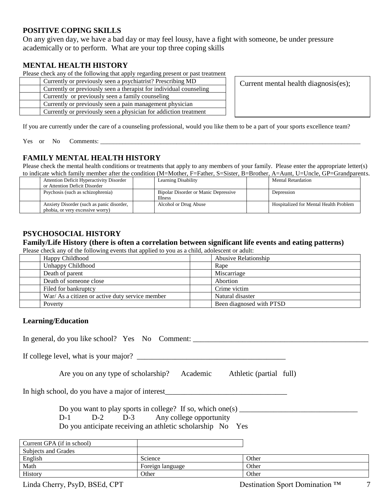#### **POSITIVE COPING SKILLS**

On any given day, we have a bad day or may feel lousy, have a fight with someone, be under pressure academically or to perform. What are your top three coping skills

#### **MENTAL HEALTH HISTORY**

Please check any of the following that apply regarding present or past treatment

| Currently or previously seen a psychiatrist? Prescribing MD        |
|--------------------------------------------------------------------|
| Currently or previously seen a therapist for individual counseling |
| Currently or previously seen a family counseling                   |
| Currently or previously seen a pain management physician           |
| Currently or previously seen a physician for addiction treatment   |
|                                                                    |

Current mental health diagnosis(es);

If you are currently under the care of a counseling professional, would you like them to be a part of your sports excellence team?

Yes or No Comments:

#### **FAMILY MENTAL HEALTH HISTORY**

Please check the mental health conditions or treatments that apply to any members of your family. Please enter the appropriate letter(s) to indicate which family member after the condition (M=Mother, F=Father, S=Sister, B=Brother, A=Aunt, U=Uncle, GP=Grandparents.

| <b>Attention Deficit Hyperactivity Disorder</b><br>or Attention Deficit Disorder | Learning Disability                                           | <b>Mental Retardation</b>                     |
|----------------------------------------------------------------------------------|---------------------------------------------------------------|-----------------------------------------------|
| Psychosis (such as schizophrenia)                                                | <b>Bipolar Disorder or Manic Depressive</b><br><b>Illness</b> | Depression                                    |
| Anxiety Disorder (such as panic disorder,<br>phobia, or very excessive worry)    | Alcohol or Drug Abuse                                         | <b>Hospitalized for Mental Health Problem</b> |

#### **PSYCHOSOCIAL HISTORY**

**Family/Life History (there is often a correlation between significant life events and eating patterns)**

Please check any of the following events that applied to you as a child, adolescent or adult:

| Happy Childhood                                 | Abusive Relationship     |
|-------------------------------------------------|--------------------------|
| Unhappy Childhood                               | Rape                     |
| Death of parent                                 | Miscarriage              |
| Death of someone close                          | Abortion                 |
| Filed for bankruptcy                            | Crime victim             |
| War/ As a citizen or active duty service member | Natural disaster         |
| Poverty                                         | Been diagnosed with PTSD |

#### **Learning/Education**

In general, do you like school? Yes No Comment: \_\_\_\_\_\_\_\_\_\_\_\_\_\_\_\_\_\_\_\_\_\_\_\_\_\_\_\_\_\_\_\_

If college level, what is your major?  $\Box$ 

Are you on any type of scholarship? Academic Athletic (partial full)

In high school, do you have a major of interest\_\_\_\_\_\_\_\_\_\_\_\_\_\_\_\_\_\_\_\_\_\_\_\_\_\_\_\_\_\_\_\_

Do you want to play sports in college? If so, which one(s)

D-1 D-2 D-3 Any college opportunity

Do you anticipate receiving an athletic scholarship No Yes

| Current GPA (if in school) |                  |       |
|----------------------------|------------------|-------|
| Subjects and Grades        |                  |       |
| English                    | Science          | Other |
| Math                       | Foreign language | Other |
| History                    | Other            | Other |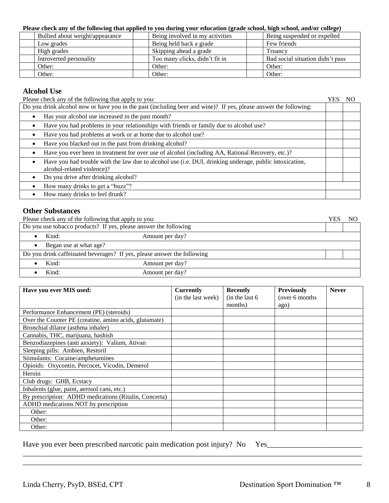#### **Please check any of the following that applied to you during your education (grade school, high school, and/or college)**

|                         |                                 | .                               |                                  |
|-------------------------|---------------------------------|---------------------------------|----------------------------------|
|                         | Bullied about weight/appearance | Being involved in my activities | Being suspended or expelled      |
| Low grades              |                                 | Being held back a grade         | Few friends                      |
| High grades             |                                 | Skipping ahead a grade          | Truancv                          |
| Introverted personality |                                 | Too many clicks, didn't fit in  | Bad social situation didn't pass |
| Other:                  |                                 | Other:                          | Other:                           |
| Other:                  |                                 | Other:                          | Other:                           |

#### **Alcohol Use**

| Please check any of the following that apply to you:                                                                                  |  |  |  |  |
|---------------------------------------------------------------------------------------------------------------------------------------|--|--|--|--|
| Do you drink alcohol now or have you in the past (including beer and wine)? If yes, please answer the following:                      |  |  |  |  |
| Has your alcohol use increased in the past month?                                                                                     |  |  |  |  |
| Have you had problems in your relationships with friends or family due to alcohol use?                                                |  |  |  |  |
| Have you had problems at work or at home due to alcohol use?                                                                          |  |  |  |  |
| Have you blacked out in the past from drinking alcohol?                                                                               |  |  |  |  |
| Have you ever been in treatment for over use of alcohol (including AA, Rational Recovery, etc.)?                                      |  |  |  |  |
| Have you had trouble with the law due to alcohol use (i.e. DUI, drinking underage, public intoxication,<br>alcohol-related violence)? |  |  |  |  |
| Do you drive after drinking alcohol?                                                                                                  |  |  |  |  |
| How many drinks to get a "buzz"?                                                                                                      |  |  |  |  |
| How many drinks to feel drunk?                                                                                                        |  |  |  |  |

#### **Other Substances**

| Please check any of the following that apply to you:                    |                          |  |  |  |  |  |  |
|-------------------------------------------------------------------------|--------------------------|--|--|--|--|--|--|
| Do you use tobacco products? If yes, please answer the following        |                          |  |  |  |  |  |  |
| Kind:<br>Amount per day?                                                |                          |  |  |  |  |  |  |
| Began use at what age?                                                  |                          |  |  |  |  |  |  |
| Do you drink caffeinated beverages? If yes, please answer the following |                          |  |  |  |  |  |  |
|                                                                         | Kind:<br>Amount per day? |  |  |  |  |  |  |
|                                                                         | Kind:<br>Amount per day? |  |  |  |  |  |  |

| Have you ever MIS used:                                | <b>Currently</b>   | <b>Recently</b> | <b>Previously</b> | <b>Never</b> |
|--------------------------------------------------------|--------------------|-----------------|-------------------|--------------|
|                                                        | (in the last week) | (in the last 6) | (over 6 months)   |              |
|                                                        |                    | months)         | ago)              |              |
| Performance Enhancement (PE) (steroids)                |                    |                 |                   |              |
| Over the Counter PE (creatine, amino acids, glutamate) |                    |                 |                   |              |
| Bronchial dilator (asthma inhaler)                     |                    |                 |                   |              |
| Cannabis, THC, marijuana, hashish                      |                    |                 |                   |              |
| Benzodiazepines (anti anxiety): Valium, Ativan         |                    |                 |                   |              |
| Sleeping pills: Ambien, Restoril                       |                    |                 |                   |              |
| Stimulants: Cocaine/amphetamines                       |                    |                 |                   |              |
| Opioids: Oxycontin, Percocet, Vicodin, Demerol         |                    |                 |                   |              |
| Heroin                                                 |                    |                 |                   |              |
| Club drugs: GHB, Ecstacy                               |                    |                 |                   |              |
| Inhalents (glue, paint, aerosol cans, etc.)            |                    |                 |                   |              |
| By prescription: ADHD medications (Ritalin, Concerta)  |                    |                 |                   |              |
| ADHD medications NOT by prescription                   |                    |                 |                   |              |
| Other:                                                 |                    |                 |                   |              |
| Other:                                                 |                    |                 |                   |              |
| Other:                                                 |                    |                 |                   |              |

\_\_\_\_\_\_\_\_\_\_\_\_\_\_\_\_\_\_\_\_\_\_\_\_\_\_\_\_\_\_\_\_\_\_\_\_\_\_\_\_\_\_\_\_\_\_\_\_\_\_\_\_\_\_\_\_\_\_\_\_\_\_\_\_\_\_\_\_\_\_\_\_\_\_\_\_\_\_\_\_\_\_\_\_\_\_\_\_\_ \_\_\_\_\_\_\_\_\_\_\_\_\_\_\_\_\_\_\_\_\_\_\_\_\_\_\_\_\_\_\_\_\_\_\_\_\_\_\_\_\_\_\_\_\_\_\_\_\_\_\_\_\_\_\_\_\_\_\_\_\_\_\_\_\_\_\_\_\_\_\_\_\_\_\_\_\_\_\_\_\_\_\_\_\_\_\_\_\_

Have you ever been prescribed narcotic pain medication post injury? No Yes\_\_\_\_\_\_\_\_\_\_\_\_\_\_\_\_\_\_\_\_\_\_\_\_\_